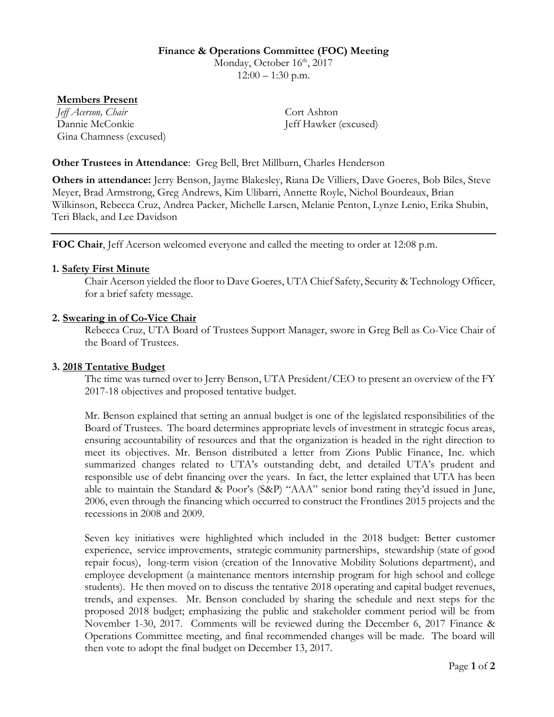# **Finance & Operations Committee (FOC) Meeting**

Monday, October 16<sup>th</sup>, 2017  $12:00 - 1:30$  p.m.

### **Members Present**

*Jeff Acerson, Chair* Cort Ashton Dannie McConkie Jeff Hawker (excused) Gina Chamness (excused)

### **Other Trustees in Attendance**: Greg Bell, Bret Millburn, Charles Henderson

**Others in attendance:** Jerry Benson, Jayme Blakesley, Riana De Villiers, Dave Goeres, Bob Biles, Steve Meyer, Brad Armstrong, Greg Andrews, Kim Ulibarri, Annette Royle, Nichol Bourdeaux, Brian Wilkinson, Rebecca Cruz, Andrea Packer, Michelle Larsen, Melanie Penton, Lynze Lenio, Erika Shubin, Teri Black, and Lee Davidson

**FOC Chair**, Jeff Acerson welcomed everyone and called the meeting to order at 12:08 p.m.

#### **1. Safety First Minute**

Chair Acerson yielded the floor to Dave Goeres, UTA Chief Safety, Security & Technology Officer, for a brief safety message.

#### **2. Swearing in of Co-Vice Chair**

Rebecca Cruz, UTA Board of Trustees Support Manager, swore in Greg Bell as Co-Vice Chair of the Board of Trustees.

#### **3. 2018 Tentative Budget**

The time was turned over to Jerry Benson, UTA President/CEO to present an overview of the FY 2017-18 objectives and proposed tentative budget.

Mr. Benson explained that setting an annual budget is one of the legislated responsibilities of the Board of Trustees. The board determines appropriate levels of investment in strategic focus areas, ensuring accountability of resources and that the organization is headed in the right direction to meet its objectives. Mr. Benson distributed a letter from Zions Public Finance, Inc. which summarized changes related to UTA's outstanding debt, and detailed UTA's prudent and responsible use of debt financing over the years. In fact, the letter explained that UTA has been able to maintain the Standard & Poor's (S&P) "AAA" senior bond rating they'd issued in June, 2006, even through the financing which occurred to construct the Frontlines 2015 projects and the recessions in 2008 and 2009.

Seven key initiatives were highlighted which included in the 2018 budget: Better customer experience, service improvements, strategic community partnerships, stewardship (state of good repair focus), long-term vision (creation of the Innovative Mobility Solutions department), and employee development (a maintenance mentors internship program for high school and college students). He then moved on to discuss the tentative 2018 operating and capital budget revenues, trends, and expenses. Mr. Benson concluded by sharing the schedule and next steps for the proposed 2018 budget; emphasizing the public and stakeholder comment period will be from November 1-30, 2017. Comments will be reviewed during the December 6, 2017 Finance & Operations Committee meeting, and final recommended changes will be made. The board will then vote to adopt the final budget on December 13, 2017.